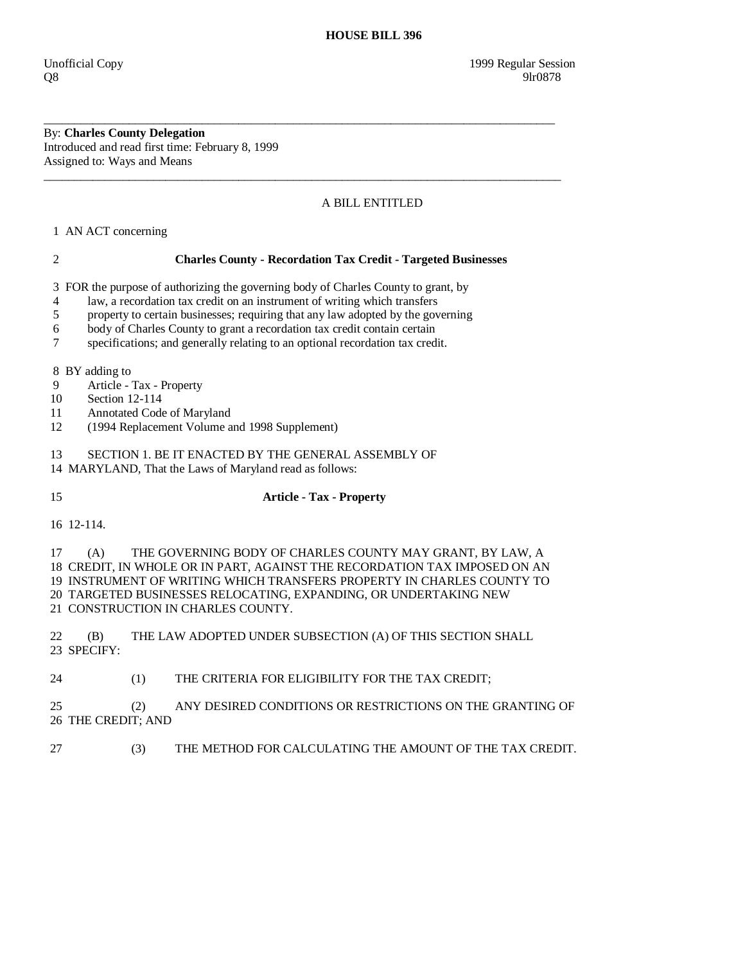By: **Charles County Delegation**  Introduced and read first time: February 8, 1999 Assigned to: Ways and Means

## A BILL ENTITLED

1 AN ACT concerning

## 2 **Charles County - Recordation Tax Credit - Targeted Businesses**

\_\_\_\_\_\_\_\_\_\_\_\_\_\_\_\_\_\_\_\_\_\_\_\_\_\_\_\_\_\_\_\_\_\_\_\_\_\_\_\_\_\_\_\_\_\_\_\_\_\_\_\_\_\_\_\_\_\_\_\_\_\_\_\_\_\_\_\_\_\_\_\_\_\_\_\_\_\_\_\_\_\_\_\_

\_\_\_\_\_\_\_\_\_\_\_\_\_\_\_\_\_\_\_\_\_\_\_\_\_\_\_\_\_\_\_\_\_\_\_\_\_\_\_\_\_\_\_\_\_\_\_\_\_\_\_\_\_\_\_\_\_\_\_\_\_\_\_\_\_\_\_\_\_\_\_\_\_\_\_\_\_\_\_\_\_\_\_\_\_

3 FOR the purpose of authorizing the governing body of Charles County to grant, by

- 4 law, a recordation tax credit on an instrument of writing which transfers
- 5 property to certain businesses; requiring that any law adopted by the governing
- 6 body of Charles County to grant a recordation tax credit contain certain
- 7 specifications; and generally relating to an optional recordation tax credit.

8 BY adding to

- 9 Article Tax Property
- 10 Section 12-114
- 11 Annotated Code of Maryland
- 12 (1994 Replacement Volume and 1998 Supplement)

### 13 SECTION 1. BE IT ENACTED BY THE GENERAL ASSEMBLY OF

14 MARYLAND, That the Laws of Maryland read as follows:

## 15 **Article - Tax - Property**

16 12-114.

 17 (A) THE GOVERNING BODY OF CHARLES COUNTY MAY GRANT, BY LAW, A 18 CREDIT, IN WHOLE OR IN PART, AGAINST THE RECORDATION TAX IMPOSED ON AN 19 INSTRUMENT OF WRITING WHICH TRANSFERS PROPERTY IN CHARLES COUNTY TO 20 TARGETED BUSINESSES RELOCATING, EXPANDING, OR UNDERTAKING NEW 21 CONSTRUCTION IN CHARLES COUNTY.

 22 (B) THE LAW ADOPTED UNDER SUBSECTION (A) OF THIS SECTION SHALL 23 SPECIFY:

24 (1) THE CRITERIA FOR ELIGIBILITY FOR THE TAX CREDIT;

 25 (2) ANY DESIRED CONDITIONS OR RESTRICTIONS ON THE GRANTING OF 26 THE CREDIT; AND

27 (3) THE METHOD FOR CALCULATING THE AMOUNT OF THE TAX CREDIT.